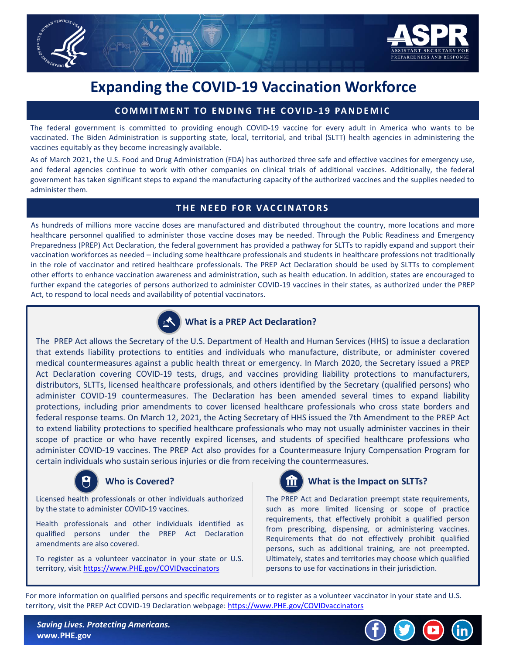

## **Expanding the COVID-19 Vaccination Workforce**

#### **COMMITMENT TO ENDING THE COVID- 19 PANDEMIC**

The federal government is committed to providing enough COVID-19 vaccine for every adult in America who wants to be vaccinated. The Biden Administration is supporting state, local, territorial, and tribal (SLTT) health agencies in administering the vaccines equitably as they become increasingly available.

As of March 2021, the U.S. Food and Drug Administration (FDA) has authorized three safe and effective vaccines for emergency use, and federal agencies continue to work with other companies on clinical trials of additional vaccines. Additionally, the federal government has taken significant steps to expand the manufacturing capacity of the authorized vaccines and the supplies needed to administer them.

#### **THE NEED FOR VACCINATORS**

As hundreds of millions more vaccine doses are manufactured and distributed throughout the country, more locations and more healthcare personnel qualified to administer those vaccine doses may be needed. Through the Public Readiness and Emergency Preparedness (PREP) Act Declaration, the federal government has provided a pathway for SLTTs to rapidly expand and support their vaccination workforces as needed – including some healthcare professionals and students in healthcare professions not traditionally in the role of vaccinator and retired healthcare professionals. The PREP Act Declaration should be used by SLTTs to complement other efforts to enhance vaccination awareness and administration, such as health education. In addition, states are encouraged to further expand the categories of persons authorized to administer COVID-19 vaccines in their states, as authorized under the PREP Act, to respond to local needs and availability of potential vaccinators.



#### **What is a PREP Act Declaration?**

The PREP Act allows the Secretary of the U.S. Department of Health and Human Services (HHS) to issue a declaration that extends liability protections to entities and individuals who manufacture, distribute, or administer covered medical countermeasures against a public health threat or emergency. In March 2020, the Secretary issued a PREP Act Declaration covering COVID-19 tests, drugs, and vaccines providing liability protections to manufacturers, distributors, SLTTs, licensed healthcare professionals, and others identified by the Secretary (qualified persons) who administer COVID-19 countermeasures. The Declaration has been amended several times to expand liability protections, including prior amendments to cover licensed healthcare professionals who cross state borders and federal response teams. On March 12, 2021, the Acting Secretary of HHS issued the 7th Amendment to the PREP Act to extend liability protections to specified healthcare professionals who may not usually administer vaccines in their scope of practice or who have recently expired licenses, and students of specified healthcare professions who administer COVID-19 vaccines. The PREP Act also provides for a Countermeasure Injury Compensation Program for certain individuals who sustain serious injuries or die from receiving the countermeasures.



#### **Who is Covered?**

Licensed health professionals or other individuals authorized by the state to administer COVID-19 vaccines.

Health professionals and other individuals identified as qualified persons under the PREP Act Declaration amendments are also covered.

To register as a volunteer vaccinator in your state or U.S. territory, visit [https://www.PHE.gov/COVIDvaccinators](https://secure-web.cisco.com/1uilX5FHe1orURuxSo16IeyQu8pQiaauteoAENiWQlzd-XdHUhNfCeRQh9F0WNpSSXI71YbvHZ2_r45e_i5DEvqZcDfIPa1r8EoaX1eSvCX9gnvGHSomegzei7030UyAC0tVOHzykphRukZr50vh70u5FAIckH-XE8PXDamGY10TL3Z3KA-PwQCvfGI7JR5xJSb29-sMWv_YsNl1_ojWK_U30dHv1tjotzX645CCdG0oPuPsaaLUD6KY2ikg4EWHqxAcL-tdnmH-tz0C1mkXxpLD2vx0_tRvd2pORS9C5DPaNH-9H-riPEtNwQ_czgAEqfd3g1U2Pe3Z9a7MP3-0IPSIACfhy7oJD3WJYW0Udg9NfokK8-sh0GdiG93PPQSllQrlY8Kb_OR4lwgouQuDvb6YxwORKJu8aZnV7v2sJIM3n16VoFISc-ur81CF_LsRM_gACSxYCYSvjblCGVSkr0Y3adLwzPqr_sfVKglRpjFXw_ATXVcj1aq3sPYn63-Lc/https%3A%2F%2Fwww.phe.gov%2FCOVIDvaccinators)



#### **What is the Impact on SLTTs?**

The PREP Act and Declaration preempt state requirements, such as more limited licensing or scope of practice requirements, that effectively prohibit a qualified person from prescribing, dispensing, or administering vaccines. Requirements that do not effectively prohibit qualified persons, such as additional training, are not preempted. Ultimately, states and territories may choose which qualified persons to use for vaccinations in their jurisdiction.

For more information on qualified persons and specific requirements or to register as a volunteer vaccinator in your state and U.S. territory, visit the PREP Act COVID-19 Declaration webpage: https://www.PHE.gov/COVIDvaccinators